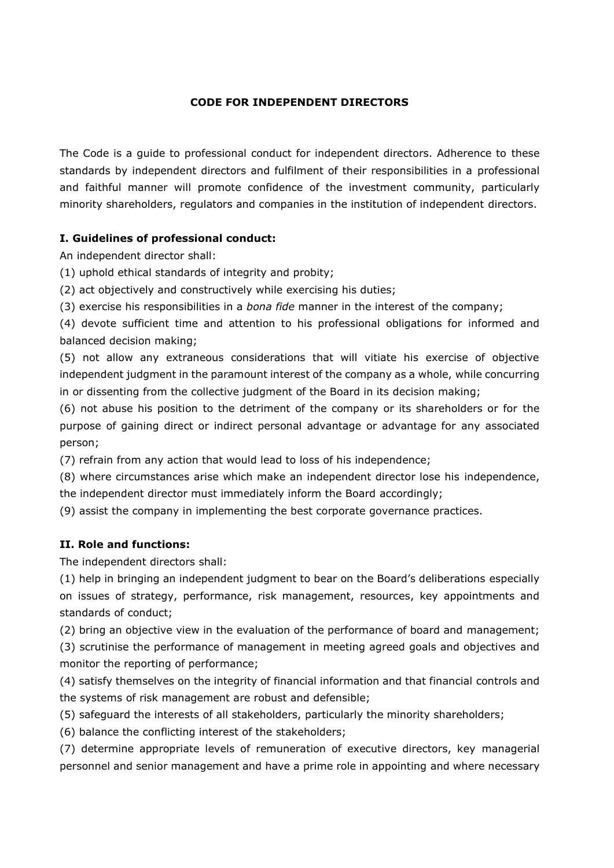#### **CODE FOR INDEPENDENT DIRECTORS**

The Code is a guide to professional conduct for independent directors. Adherence to these standards by independent directors and fulfilment of their responsibilities in a professional and faithful manner will promote confidence of the investment community, particularly minority shareholders, regulators and companies in the institution of independent directors.

#### **I. Guidelines of professional conduct:**

An independent director shall:

(1) uphold ethical standards of integrity and probity;

(2) act objectively and constructively while exercising his duties;

(3) exercise his responsibilities in a *bona fide* manner in the interest of the company;

(4) devote sufficient time and attention to his professional obligations for informed and balanced decision making;

(5) not allow any extraneous considerations that will vitiate his exercise of objective independent judgment in the paramount interest of the company as a whole, while concurring in or dissenting from the collective judgment of the Board in its decision making;

(6) not abuse his position to the detriment of the company or its shareholders or for the purpose of gaining direct or indirect personal advantage or advantage for any associated person;

(7) refrain from any action that would lead to loss of his independence;

(8) where circumstances arise which make an independent director lose his independence, the independent director must immediately inform the Board accordingly;

(9) assist the company in implementing the best corporate governance practices.

# **II. Role and functions:**

The independent directors shall:

(1) help in bringing an independent judgment to bear on the Board's deliberations especially on issues of strategy, performance, risk management, resources, key appointments and standards of conduct;

(2) bring an objective view in the evaluation of the performance of board and management;

(3) scrutinise the performance of management in meeting agreed goals and objectives and monitor the reporting of performance;

(4) satisfy themselves on the integrity of financial information and that financial controls and the systems of risk management are robust and defensible;

(5) safeguard the interests of all stakeholders, particularly the minority shareholders;

(6) balance the conflicting interest of the stakeholders;

(7) determine appropriate levels of remuneration of executive directors, key managerial personnel and senior management and have a prime role in appointing and where necessary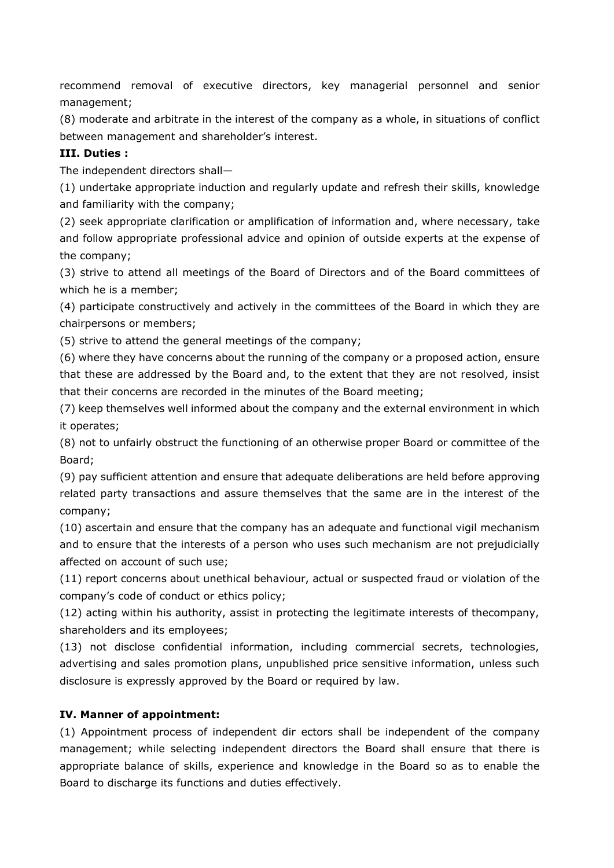recommend removal of executive directors, key managerial personnel and senior management;

(8) moderate and arbitrate in the interest of the company as a whole, in situations of conflict between management and shareholder's interest.

# **III. Duties :**

The independent directors shall—

(1) undertake appropriate induction and regularly update and refresh their skills, knowledge and familiarity with the company;

(2) seek appropriate clarification or amplification of information and, where necessary, take and follow appropriate professional advice and opinion of outside experts at the expense of the company;

(3) strive to attend all meetings of the Board of Directors and of the Board committees of which he is a member;

(4) participate constructively and actively in the committees of the Board in which they are chairpersons or members;

(5) strive to attend the general meetings of the company;

(6) where they have concerns about the running of the company or a proposed action, ensure that these are addressed by the Board and, to the extent that they are not resolved, insist that their concerns are recorded in the minutes of the Board meeting;

(7) keep themselves well informed about the company and the external environment in which it operates;

(8) not to unfairly obstruct the functioning of an otherwise proper Board or committee of the Board;

(9) pay sufficient attention and ensure that adequate deliberations are held before approving related party transactions and assure themselves that the same are in the interest of the company;

(10) ascertain and ensure that the company has an adequate and functional vigil mechanism and to ensure that the interests of a person who uses such mechanism are not prejudicially affected on account of such use;

(11) report concerns about unethical behaviour, actual or suspected fraud or violation of the company's code of conduct or ethics policy;

(12) acting within his authority, assist in protecting the legitimate interests of thecompany, shareholders and its employees;

(13) not disclose confidential information, including commercial secrets, technologies, advertising and sales promotion plans, unpublished price sensitive information, unless such disclosure is expressly approved by the Board or required by law.

# **IV. Manner of appointment:**

(1) Appointment process of independent dir ectors shall be independent of the company management; while selecting independent directors the Board shall ensure that there is appropriate balance of skills, experience and knowledge in the Board so as to enable the Board to discharge its functions and duties effectively.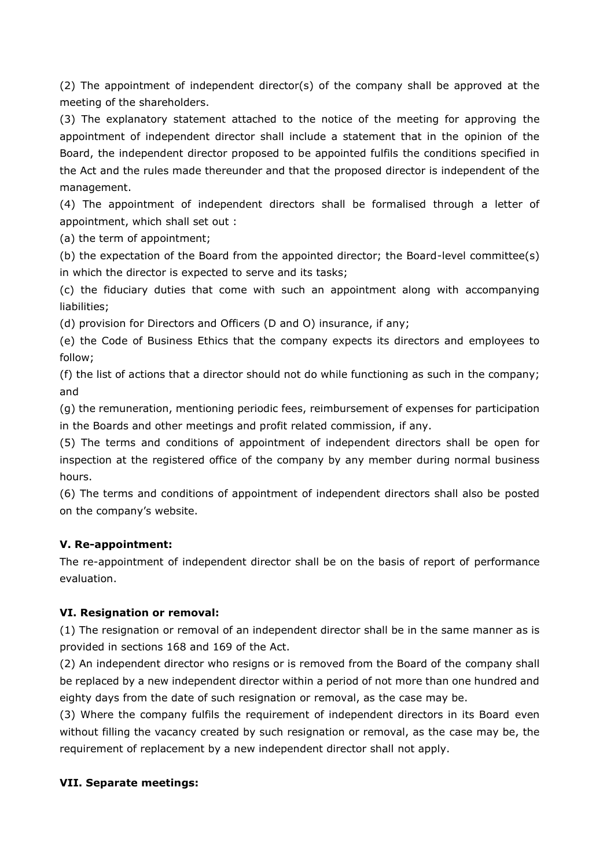(2) The appointment of independent director(s) of the company shall be approved at the meeting of the shareholders.

(3) The explanatory statement attached to the notice of the meeting for approving the appointment of independent director shall include a statement that in the opinion of the Board, the independent director proposed to be appointed fulfils the conditions specified in the Act and the rules made thereunder and that the proposed director is independent of the management.

(4) The appointment of independent directors shall be formalised through a letter of appointment, which shall set out :

(a) the term of appointment;

(b) the expectation of the Board from the appointed director; the Board-level committee(s) in which the director is expected to serve and its tasks;

(c) the fiduciary duties that come with such an appointment along with accompanying liabilities;

(d) provision for Directors and Officers (D and O) insurance, if any;

(e) the Code of Business Ethics that the company expects its directors and employees to follow;

(f) the list of actions that a director should not do while functioning as such in the company; and

(g) the remuneration, mentioning periodic fees, reimbursement of expenses for participation in the Boards and other meetings and profit related commission, if any.

(5) The terms and conditions of appointment of independent directors shall be open for inspection at the registered office of the company by any member during normal business hours.

(6) The terms and conditions of appointment of independent directors shall also be posted on the company's website.

# **V. Re-appointment:**

The re-appointment of independent director shall be on the basis of report of performance evaluation.

# **VI. Resignation or removal:**

(1) The resignation or removal of an independent director shall be in the same manner as is provided in sections 168 and 169 of the Act.

(2) An independent director who resigns or is removed from the Board of the company shall be replaced by a new independent director within a period of not more than one hundred and eighty days from the date of such resignation or removal, as the case may be.

(3) Where the company fulfils the requirement of independent directors in its Board even without filling the vacancy created by such resignation or removal, as the case may be, the requirement of replacement by a new independent director shall not apply.

#### **VII. Separate meetings:**